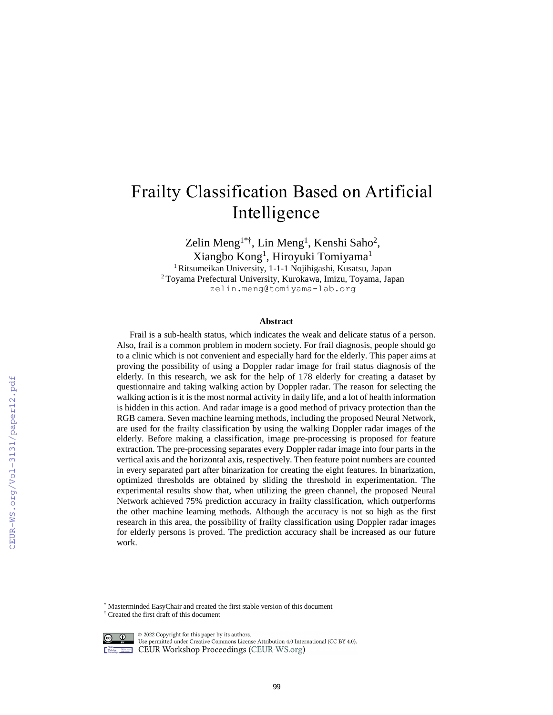# Frailty Classification Based on Artificial Intelligence

Zelin Meng<sup>1\*†</sup>, Lin Meng<sup>1</sup>, Kenshi Saho<sup>2</sup>, Xiangbo Kong<sup>1</sup>, Hiroyuki Tomiyama<sup>1</sup> <sup>1</sup> Ritsumeikan University, 1-1-1 Nojihigashi, Kusatsu, Japan <sup>2</sup> Toyama Prefectural University, Kurokawa, Imizu, Toyama, Japan zelin.meng@tomiyama-lab.org

#### **Abstract**

Frail is a sub-health status, which indicates the weak and delicate status of a person. Also, frail is a common problem in modern society. For frail diagnosis, people should go to a clinic which is not convenient and especially hard for the elderly. This paper aims at proving the possibility of using a Doppler radar image for frail status diagnosis of the elderly. In this research, we ask for the help of 178 elderly for creating a dataset by questionnaire and taking walking action by Doppler radar. The reason for selecting the walking action is it is the most normal activity in daily life, and a lot of health information is hidden in this action. And radar image is a good method of privacy protection than the RGB camera. Seven machine learning methods, including the proposed Neural Network, are used for the frailty classification by using the walking Doppler radar images of the elderly. Before making a classification, image pre-processing is proposed for feature extraction. The pre-processing separates every Doppler radar image into four parts in the vertical axis and the horizontal axis, respectively. Then feature point numbers are counted in every separated part after binarization for creating the eight features. In binarization, optimized thresholds are obtained by sliding the threshold in experimentation. The experimental results show that, when utilizing the green channel, the proposed Neural Network achieved 75% prediction accuracy in frailty classification, which outperforms the other machine learning methods. Although the accuracy is not so high as the first research in this area, the possibility of frailty classification using Doppler radar images for elderly persons is proved. The prediction accuracy shall be increased as our future work.

\* Masterminded EasyChair and created the first stable version of this document

<sup>†</sup> Created the first draft of this document



© 2022 Copyright for this paper by its authors.

Use permitted under Creative Commons License Attribution 4.0 International (CC BY 4.0). **EXECURED CEUR Workshop Proceedings (CEUR-WS.org)**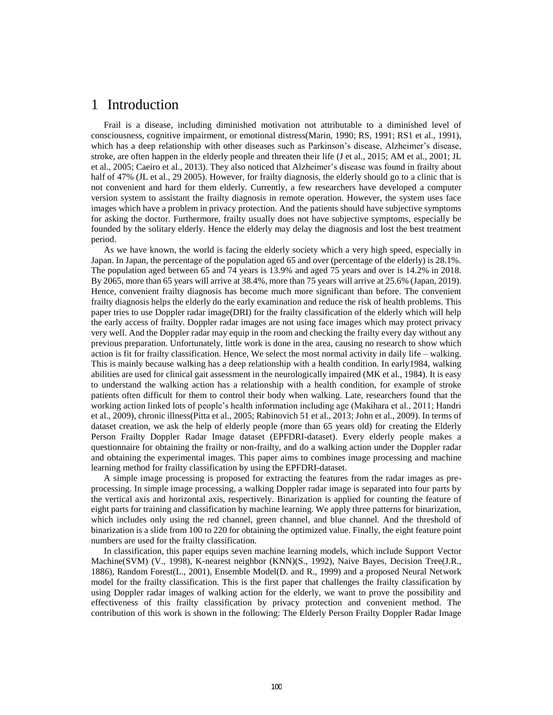## 1 Introduction

Frail is a disease, including diminished motivation not attributable to a diminished level of consciousness, cognitive impairment, or emotional distress(Marin, 1990; RS, 1991; RS1 et al., 1991), which has a deep relationship with other diseases such as Parkinson's disease, Alzheimer's disease, stroke, are often happen in the elderly people and threaten their life (J et al., 2015; AM et al., 2001; JL et al., 2005; Caeiro et al., 2013). They also noticed that Alzheimer's disease was found in frailty about half of 47% (JL et al., 29 2005). However, for frailty diagnosis, the elderly should go to a clinic that is not convenient and hard for them elderly. Currently, a few researchers have developed a computer version system to assistant the frailty diagnosis in remote operation. However, the system uses face images which have a problem in privacy protection. And the patients should have subjective symptoms for asking the doctor. Furthermore, frailty usually does not have subjective symptoms, especially be founded by the solitary elderly. Hence the elderly may delay the diagnosis and lost the best treatment period.

As we have known, the world is facing the elderly society which a very high speed, especially in Japan. In Japan, the percentage of the population aged 65 and over (percentage of the elderly) is 28.1%. The population aged between 65 and 74 years is 13.9% and aged 75 years and over is 14.2% in 2018. By 2065, more than 65 years will arrive at 38.4%, more than 75 years will arrive at 25.6% (Japan, 2019). Hence, convenient frailty diagnosis has become much more significant than before. The convenient frailty diagnosis helps the elderly do the early examination and reduce the risk of health problems. This paper tries to use Doppler radar image(DRI) for the frailty classification of the elderly which will help the early access of frailty. Doppler radar images are not using face images which may protect privacy very well. And the Doppler radar may equip in the room and checking the frailty every day without any previous preparation. Unfortunately, little work is done in the area, causing no research to show which action is fit for frailty classification. Hence, We select the most normal activity in daily life – walking. This is mainly because walking has a deep relationship with a health condition. In early1984, walking abilities are used for clinical gait assessment in the neurologically impaired (MK et al., 1984). It is easy to understand the walking action has a relationship with a health condition, for example of stroke patients often difficult for them to control their body when walking. Late, researchers found that the working action linked lots of people's health information including age (Makihara et al., 2011; Handri et al., 2009), chronic illness(Pitta et al., 2005; Rabinovich 51 et al., 2013; John et al., 2009). In terms of dataset creation, we ask the help of elderly people (more than 65 years old) for creating the Elderly Person Frailty Doppler Radar Image dataset (EPFDRI-dataset). Every elderly people makes a questionnaire for obtaining the frailty or non-frailty, and do a walking action under the Doppler radar and obtaining the experimental images. This paper aims to combines image processing and machine learning method for frailty classification by using the EPFDRI-dataset.

A simple image processing is proposed for extracting the features from the radar images as preprocessing. In simple image processing, a walking Doppler radar image is separated into four parts by the vertical axis and horizontal axis, respectively. Binarization is applied for counting the feature of eight parts for training and classification by machine learning. We apply three patterns for binarization, which includes only using the red channel, green channel, and blue channel. And the threshold of binarization is a slide from 100 to 220 for obtaining the optimized value. Finally, the eight feature point numbers are used for the frailty classification.

In classification, this paper equips seven machine learning models, which include Support Vector Machine(SVM) (V., 1998), K-nearest neighbor (KNN)(S., 1992), Naive Bayes, Decision Tree(J.R., 1886), Random Forest(L., 2001), Ensemble Model(D. and R., 1999) and a proposed Neural Network model for the frailty classification. This is the first paper that challenges the frailty classification by using Doppler radar images of walking action for the elderly, we want to prove the possibility and effectiveness of this frailty classification by privacy protection and convenient method. The contribution of this work is shown in the following: The Elderly Person Frailty Doppler Radar Image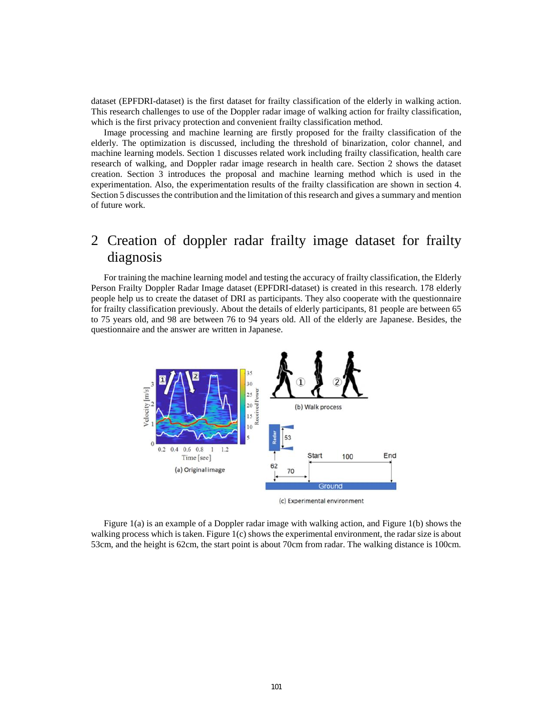dataset (EPFDRI-dataset) is the first dataset for frailty classification of the elderly in walking action. This research challenges to use of the Doppler radar image of walking action for frailty classification, which is the first privacy protection and convenient frailty classification method.

Image processing and machine learning are firstly proposed for the frailty classification of the elderly. The optimization is discussed, including the threshold of binarization, color channel, and machine learning models. Section 1 discusses related work including frailty classification, health care research of walking, and Doppler radar image research in health care. Section 2 shows the dataset creation. Section 3 introduces the proposal and machine learning method which is used in the experimentation. Also, the experimentation results of the frailty classification are shown in section 4. Section 5 discusses the contribution and the limitation of this research and gives a summary and mention of future work.

## 2 Creation of doppler radar frailty image dataset for frailty diagnosis

For training the machine learning model and testing the accuracy of frailty classification, the Elderly Person Frailty Doppler Radar Image dataset (EPFDRI-dataset) is created in this research. 178 elderly people help us to create the dataset of DRI as participants. They also cooperate with the questionnaire for frailty classification previously. About the details of elderly participants, 81 people are between 65 to 75 years old, and 98 are between 76 to 94 years old. All of the elderly are Japanese. Besides, the questionnaire and the answer are written in Japanese.



Figure 1(a) is an example of a Doppler radar image with walking action, and Figure 1(b) shows the walking process which is taken. Figure 1(c) shows the experimental environment, the radar size is about 53cm, and the height is 62cm, the start point is about 70cm from radar. The walking distance is 100cm.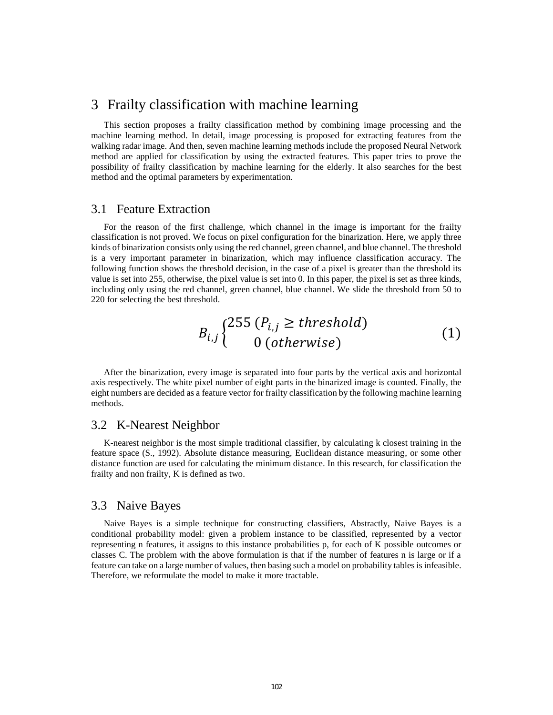## 3 Frailty classification with machine learning

This section proposes a frailty classification method by combining image processing and the machine learning method. In detail, image processing is proposed for extracting features from the walking radar image. And then, seven machine learning methods include the proposed Neural Network method are applied for classification by using the extracted features. This paper tries to prove the possibility of frailty classification by machine learning for the elderly. It also searches for the best method and the optimal parameters by experimentation.

#### 3.1 Feature Extraction

For the reason of the first challenge, which channel in the image is important for the frailty classification is not proved. We focus on pixel configuration for the binarization. Here, we apply three kinds of binarization consists only using the red channel, green channel, and blue channel. The threshold is a very important parameter in binarization, which may influence classification accuracy. The following function shows the threshold decision, in the case of a pixel is greater than the threshold its value is set into 255, otherwise, the pixel value is set into 0. In this paper, the pixel is set as three kinds, including only using the red channel, green channel, blue channel. We slide the threshold from 50 to 220 for selecting the best threshold.

$$
B_{i,j} \begin{cases} 255 \ (P_{i,j} \ge threshold) \\ 0 \ (otherwise) \end{cases} \tag{1}
$$

After the binarization, every image is separated into four parts by the vertical axis and horizontal axis respectively. The white pixel number of eight parts in the binarized image is counted. Finally, the eight numbers are decided as a feature vector for frailty classification by the following machine learning methods.

#### 3.2 K-Nearest Neighbor

K-nearest neighbor is the most simple traditional classifier, by calculating k closest training in the feature space (S., 1992). Absolute distance measuring, Euclidean distance measuring, or some other distance function are used for calculating the minimum distance. In this research, for classification the frailty and non frailty, K is defined as two.

#### 3.3 Naive Bayes

Naive Bayes is a simple technique for constructing classifiers, Abstractly, Naive Bayes is a conditional probability model: given a problem instance to be classified, represented by a vector representing n features, it assigns to this instance probabilities p, for each of K possible outcomes or classes C. The problem with the above formulation is that if the number of features n is large or if a feature can take on a large number of values, then basing such a model on probability tables is infeasible. Therefore, we reformulate the model to make it more tractable.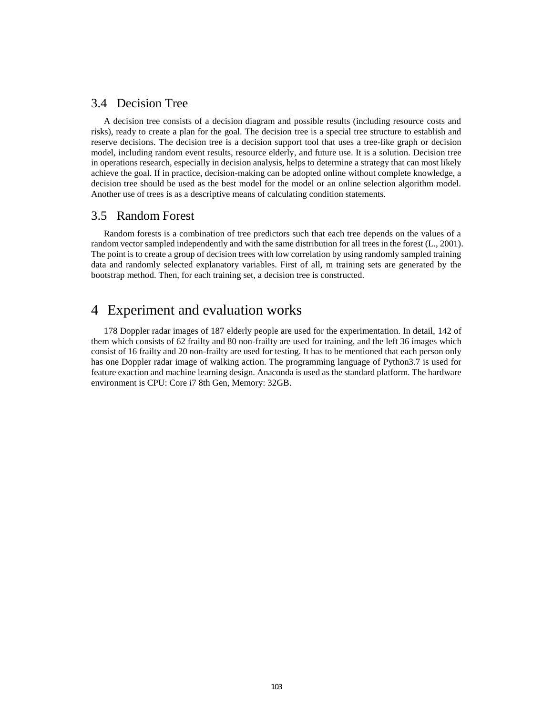#### 3.4 Decision Tree

A decision tree consists of a decision diagram and possible results (including resource costs and risks), ready to create a plan for the goal. The decision tree is a special tree structure to establish and reserve decisions. The decision tree is a decision support tool that uses a tree-like graph or decision model, including random event results, resource elderly, and future use. It is a solution. Decision tree in operations research, especially in decision analysis, helps to determine a strategy that can most likely achieve the goal. If in practice, decision-making can be adopted online without complete knowledge, a decision tree should be used as the best model for the model or an online selection algorithm model. Another use of trees is as a descriptive means of calculating condition statements.

#### 3.5 Random Forest

Random forests is a combination of tree predictors such that each tree depends on the values of a random vector sampled independently and with the same distribution for all trees in the forest (L., 2001). The point is to create a group of decision trees with low correlation by using randomly sampled training data and randomly selected explanatory variables. First of all, m training sets are generated by the bootstrap method. Then, for each training set, a decision tree is constructed.

## 4 Experiment and evaluation works

178 Doppler radar images of 187 elderly people are used for the experimentation. In detail, 142 of them which consists of 62 frailty and 80 non-frailty are used for training, and the left 36 images which consist of 16 frailty and 20 non-frailty are used for testing. It has to be mentioned that each person only has one Doppler radar image of walking action. The programming language of Python3.7 is used for feature exaction and machine learning design. Anaconda is used as the standard platform. The hardware environment is CPU: Core i7 8th Gen, Memory: 32GB.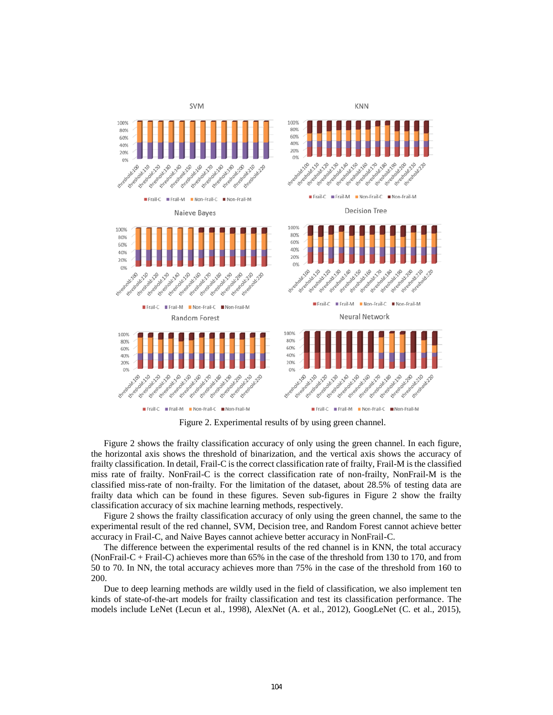

Figure 2. Experimental results of by using green channel.

Figure 2 shows the frailty classification accuracy of only using the green channel. In each figure, the horizontal axis shows the threshold of binarization, and the vertical axis shows the accuracy of frailty classification. In detail, Frail-C is the correct classification rate of frailty, Frail-M is the classified miss rate of frailty. NonFrail-C is the correct classification rate of non-frailty, NonFrail-M is the classified miss-rate of non-frailty. For the limitation of the dataset, about 28.5% of testing data are frailty data which can be found in these figures. Seven sub-figures in Figure 2 show the frailty classification accuracy of six machine learning methods, respectively.

Figure 2 shows the frailty classification accuracy of only using the green channel, the same to the experimental result of the red channel, SVM, Decision tree, and Random Forest cannot achieve better accuracy in Frail-C, and Naive Bayes cannot achieve better accuracy in NonFrail-C.

The difference between the experimental results of the red channel is in KNN, the total accuracy (NonFrail-C + Frail-C) achieves more than 65% in the case of the threshold from 130 to 170, and from 50 to 70. In NN, the total accuracy achieves more than 75% in the case of the threshold from 160 to 200.

Due to deep learning methods are wildly used in the field of classification, we also implement ten kinds of state-of-the-art models for frailty classification and test its classification performance. The models include LeNet (Lecun et al., 1998), AlexNet (A. et al., 2012), GoogLeNet (C. et al., 2015),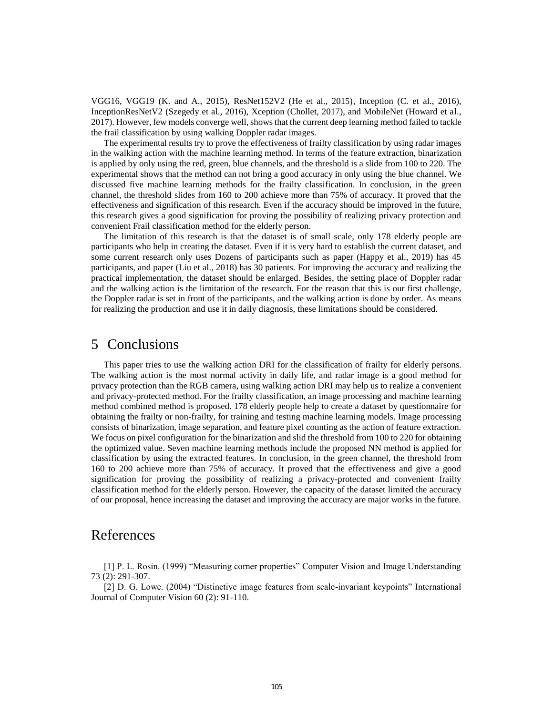VGG16, VGG19 (K. and A., 2015), ResNet152V2 (He et al., 2015), Inception (C. et al., 2016), InceptionResNetV2 (Szegedy et al., 2016), Xception (Chollet, 2017), and MobileNet (Howard et al., 2017). However, few models converge well, shows that the current deep learning method failed to tackle the frail classification by using walking Doppler radar images.

The experimental results try to prove the effectiveness of frailty classification by using radar images in the walking action with the machine learning method. In terms of the feature extraction, binarization is applied by only using the red, green, blue channels, and the threshold is a slide from 100 to 220. The experimental shows that the method can not bring a good accuracy in only using the blue channel. We discussed five machine learning methods for the frailty classification. In conclusion, in the green channel, the threshold slides from 160 to 200 achieve more than 75% of accuracy. It proved that the effectiveness and signification of this research. Even if the accuracy should be improved in the future, this research gives a good signification for proving the possibility of realizing privacy protection and convenient Frail classification method for the elderly person.

The limitation of this research is that the dataset is of small scale, only 178 elderly people are participants who help in creating the dataset. Even if it is very hard to establish the current dataset, and some current research only uses Dozens of participants such as paper (Happy et al., 2019) has 45 participants, and paper (Liu et al., 2018) has 30 patients. For improving the accuracy and realizing the practical implementation, the dataset should be enlarged. Besides, the setting place of Doppler radar and the walking action is the limitation of the research. For the reason that this is our first challenge, the Doppler radar is set in front of the participants, and the walking action is done by order. As means for realizing the production and use it in daily diagnosis, these limitations should be considered.

### 5 Conclusions

This paper tries to use the walking action DRI for the classification of frailty for elderly persons. The walking action is the most normal activity in daily life, and radar image is a good method for privacy protection than the RGB camera, using walking action DRI may help us to realize a convenient and privacy-protected method. For the frailty classification, an image processing and machine learning method combined method is proposed. 178 elderly people help to create a dataset by questionnaire for obtaining the frailty or non-frailty, for training and testing machine learning models. Image processing consists of binarization, image separation, and feature pixel counting as the action of feature extraction. We focus on pixel configuration for the binarization and slid the threshold from 100 to 220 for obtaining the optimized value. Seven machine learning methods include the proposed NN method is applied for classification by using the extracted features. In conclusion, in the green channel, the threshold from 160 to 200 achieve more than 75% of accuracy. It proved that the effectiveness and give a good signification for proving the possibility of realizing a privacy-protected and convenient frailty classification method for the elderly person. However, the capacity of the dataset limited the accuracy of our proposal, hence increasing the dataset and improving the accuracy are major works in the future.

## References

[1] P. L. Rosin. (1999) "Measuring corner properties" Computer Vision and Image Understanding 73 (2): 291-307.

[2] D. G. Lowe. (2004) "Distinctive image features from scale-invariant keypoints" International Journal of Computer Vision 60 (2): 91-110.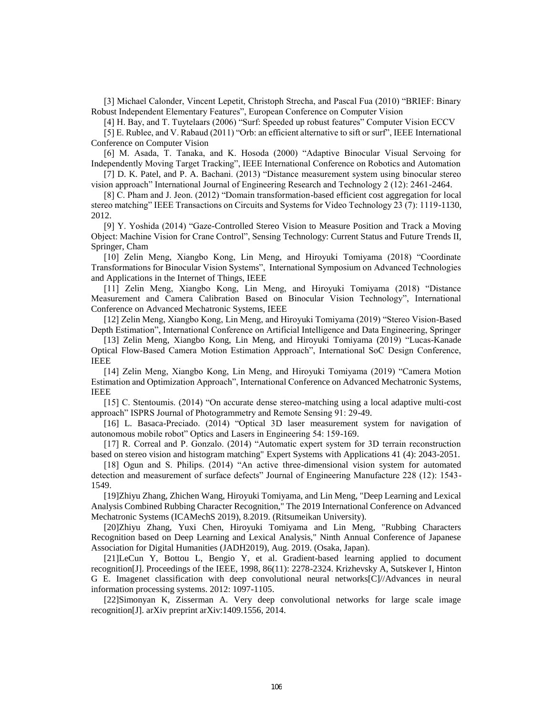[3] Michael Calonder, Vincent Lepetit, Christoph Strecha, and Pascal Fua (2010) "BRIEF: Binary Robust Independent Elementary Features", European Conference on Computer Vision

[4] H. Bay, and T. Tuytelaars (2006) "Surf: Speeded up robust features" Computer Vision ECCV

[5] E. Rublee, and V. Rabaud (2011) "Orb: an efficient alternative to sift or surf", IEEE International Conference on Computer Vision

[6] M. Asada, T. Tanaka, and K. Hosoda (2000) "Adaptive Binocular Visual Servoing for Independently Moving Target Tracking", IEEE International Conference on Robotics and Automation

[7] D. K. Patel, and P. A. Bachani. (2013) "Distance measurement system using binocular stereo vision approach" International Journal of Engineering Research and Technology 2 (12): 2461-2464.

[8] C. Pham and J. Jeon. (2012) "Domain transformation-based efficient cost aggregation for local stereo matching" IEEE Transactions on Circuits and Systems for Video Technology 23 (7): 1119-1130, 2012.

[9] Y. Yoshida (2014) "Gaze-Controlled Stereo Vision to Measure Position and Track a Moving Object: Machine Vision for Crane Control", Sensing Technology: Current Status and Future Trends II, Springer, Cham

[10] Zelin Meng, Xiangbo Kong, Lin Meng, and Hiroyuki Tomiyama (2018) "Coordinate Transformations for Binocular Vision Systems", International Symposium on Advanced Technologies and Applications in the Internet of Things, IEEE

[11] Zelin Meng, Xiangbo Kong, Lin Meng, and Hiroyuki Tomiyama (2018) "Distance Measurement and Camera Calibration Based on Binocular Vision Technology", International Conference on Advanced Mechatronic Systems, IEEE

[12] Zelin Meng, Xiangbo Kong, Lin Meng, and Hiroyuki Tomiyama (2019) "Stereo Vision-Based Depth Estimation", International Conference on Artificial Intelligence and Data Engineering, Springer

[13] Zelin Meng, Xiangbo Kong, Lin Meng, and Hiroyuki Tomiyama (2019) "Lucas-Kanade Optical Flow-Based Camera Motion Estimation Approach", International SoC Design Conference, IEEE

[14] Zelin Meng, Xiangbo Kong, Lin Meng, and Hiroyuki Tomiyama (2019) "Camera Motion Estimation and Optimization Approach", International Conference on Advanced Mechatronic Systems, IEEE

[15] C. Stentoumis. (2014) "On accurate dense stereo-matching using a local adaptive multi-cost approach" ISPRS Journal of Photogrammetry and Remote Sensing 91: 29-49.

[16] L. Basaca-Preciado. (2014) "Optical 3D laser measurement system for navigation of autonomous mobile robot" Optics and Lasers in Engineering 54: 159-169.

[17] R. Correal and P. Gonzalo. (2014) "Automatic expert system for 3D terrain reconstruction based on stereo vision and histogram matching" Expert Systems with Applications 41 (4): 2043-2051.

[18] Ogun and S. Philips. (2014) "An active three-dimensional vision system for automated detection and measurement of surface defects" Journal of Engineering Manufacture 228 (12): 1543- 1549.

[19]Zhiyu Zhang, Zhichen Wang, Hiroyuki Tomiyama, and Lin Meng, "Deep Learning and Lexical Analysis Combined Rubbing Character Recognition," The 2019 International Conference on Advanced Mechatronic Systems (ICAMechS 2019), 8.2019. (Ritsumeikan University).

[20]Zhiyu Zhang, Yuxi Chen, Hiroyuki Tomiyama and Lin Meng, "Rubbing Characters Recognition based on Deep Learning and Lexical Analysis," Ninth Annual Conference of Japanese Association for Digital Humanities (JADH2019), Aug. 2019. (Osaka, Japan).

[21]LeCun Y, Bottou L, Bengio Y, et al. Gradient-based learning applied to document recognition[J]. Proceedings of the IEEE, 1998, 86(11): 2278-2324. Krizhevsky A, Sutskever I, Hinton G E. Imagenet classification with deep convolutional neural networks[C]//Advances in neural information processing systems. 2012: 1097-1105.

[22]Simonyan K, Zisserman A. Very deep convolutional networks for large scale image recognition[J]. arXiv preprint arXiv:1409.1556, 2014.